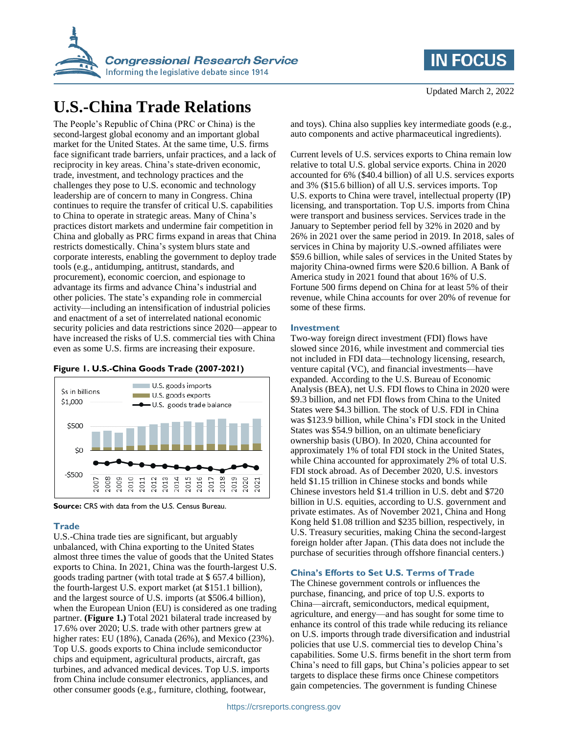

# **U.S.-China Trade Relations**

The People's Republic of China (PRC or China) is the second-largest global economy and an important global market for the United States. At the same time, U.S. firms face significant trade barriers, unfair practices, and a lack of reciprocity in key areas. China's state-driven economic, trade, investment, and technology practices and the challenges they pose to U.S. economic and technology leadership are of concern to many in Congress. China continues to require the transfer of critical U.S. capabilities to China to operate in strategic areas. Many of China's practices distort markets and undermine fair competition in China and globally as PRC firms expand in areas that China restricts domestically. China's system blurs state and corporate interests, enabling the government to deploy trade tools (e.g., antidumping, antitrust, standards, and procurement), economic coercion, and espionage to advantage its firms and advance China's industrial and other policies. The state's expanding role in commercial activity—including an intensification of industrial policies and enactment of a set of interrelated national economic security policies and data restrictions since 2020—appear to have increased the risks of U.S. commercial ties with China even as some U.S. firms are increasing their exposure.

### **Figure 1. U.S.-China Goods Trade (2007-2021)**



**Source:** CRS with data from the U.S. Census Bureau.

# **Trade**

U.S.-China trade ties are significant, but arguably unbalanced, with China exporting to the United States almost three times the value of goods that the United States exports to China. In 2021, China was the fourth-largest U.S. goods trading partner (with total trade at \$ 657.4 billion), the fourth-largest U.S. export market (at \$151.1 billion), and the largest source of U.S. imports (at \$506.4 billion), when the European Union (EU) is considered as one trading partner. **(Figure 1.)** Total 2021 bilateral trade increased by 17.6% over 2020; U.S. trade with other partners grew at higher rates: EU (18%), Canada (26%), and Mexico (23%). Top U.S. goods exports to China include semiconductor chips and equipment, agricultural products, aircraft, gas turbines, and advanced medical devices. Top U.S. imports from China include consumer electronics, appliances, and other consumer goods (e.g., furniture, clothing, footwear,

and toys). China also supplies key intermediate goods (e.g., auto components and active pharmaceutical ingredients).

Current levels of U.S. services exports to China remain low relative to total U.S. global service exports. China in 2020 accounted for 6% (\$40.4 billion) of all U.S. services exports and 3% (\$15.6 billion) of all U.S. services imports. Top U.S. exports to China were travel, intellectual property (IP) licensing, and transportation. Top U.S. imports from China were transport and business services. Services trade in the January to September period fell by 32% in 2020 and by 26% in 2021 over the same period in 2019. In 2018, sales of services in China by majority U.S.-owned affiliates were \$59.6 billion, while sales of services in the United States by majority China-owned firms were \$20.6 billion. A Bank of America study in 2021 found that about 16% of U.S. Fortune 500 firms depend on China for at least 5% of their revenue, while China accounts for over 20% of revenue for some of these firms.

#### **Investment**

Two-way foreign direct investment (FDI) flows have slowed since 2016, while investment and commercial ties not included in FDI data—technology licensing, research, venture capital (VC), and financial investments—have expanded. According to the U.S. Bureau of Economic Analysis (BEA), net U.S. FDI flows to China in 2020 were \$9.3 billion, and net FDI flows from China to the United States were \$4.3 billion. The stock of U.S. FDI in China was \$123.9 billion, while China's FDI stock in the United States was \$54.9 billion, on an ultimate beneficiary ownership basis (UBO). In 2020, China accounted for approximately 1% of total FDI stock in the United States, while China accounted for approximately 2% of total U.S. FDI stock abroad. As of December 2020, U.S. investors held \$1.15 trillion in Chinese stocks and bonds while Chinese investors held \$1.4 trillion in U.S. debt and \$720 billion in U.S. equities, according to U.S. government and private estimates. As of November 2021, China and Hong Kong held \$1.08 trillion and \$235 billion, respectively, in U.S. Treasury securities, making China the second-largest foreign holder after Japan. (This data does not include the purchase of securities through offshore financial centers.)

#### **China's Efforts to Set U.S. Terms of Trade**

The Chinese government controls or influences the purchase, financing, and price of top U.S. exports to China—aircraft, semiconductors, medical equipment, agriculture, and energy—and has sought for some time to enhance its control of this trade while reducing its reliance on U.S. imports through trade diversification and industrial policies that use U.S. commercial ties to develop China's capabilities. Some U.S. firms benefit in the short term from China's need to fill gaps, but China's policies appear to set targets to displace these firms once Chinese competitors gain competencies. The government is funding Chinese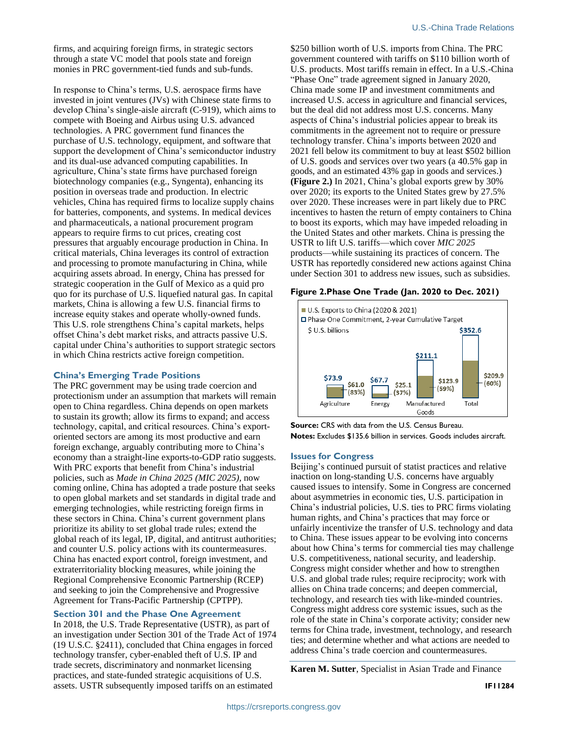firms, and acquiring foreign firms, in strategic sectors through a state VC model that pools state and foreign monies in PRC government-tied funds and sub-funds.

In response to China's terms, U.S. aerospace firms have invested in joint ventures (JVs) with Chinese state firms to develop China's single-aisle aircraft (C-919), which aims to compete with Boeing and Airbus using U.S. advanced technologies. A PRC government fund finances the purchase of U.S. technology, equipment, and software that support the development of China's semiconductor industry and its dual-use advanced computing capabilities. In agriculture, China's state firms have purchased foreign biotechnology companies (e.g., Syngenta), enhancing its position in overseas trade and production. In electric vehicles, China has required firms to localize supply chains for batteries, components, and systems. In medical devices and pharmaceuticals, a national procurement program appears to require firms to cut prices, creating cost pressures that arguably encourage production in China. In critical materials, China leverages its control of extraction and processing to promote manufacturing in China, while acquiring assets abroad. In energy, China has pressed for strategic cooperation in the Gulf of Mexico as a quid pro quo for its purchase of U.S. liquefied natural gas. In capital markets, China is allowing a few U.S. financial firms to increase equity stakes and operate wholly-owned funds. This U.S. role strengthens China's capital markets, helps offset China's debt market risks, and attracts passive U.S. capital under China's authorities to support strategic sectors in which China restricts active foreign competition.

# **China's Emerging Trade Positions**

The PRC government may be using trade coercion and protectionism under an assumption that markets will remain open to China regardless. China depends on open markets to sustain its growth; allow its firms to expand; and access technology, capital, and critical resources. China's exportoriented sectors are among its most productive and earn foreign exchange, arguably contributing more to China's economy than a straight-line exports-to-GDP ratio suggests. With PRC exports that benefit from China's industrial policies, such as *Made in China 2025 (MIC 2025),* now coming online, China has adopted a trade posture that seeks to open global markets and set standards in digital trade and emerging technologies, while restricting foreign firms in these sectors in China. China's current government plans prioritize its ability to set global trade rules; extend the global reach of its legal, IP, digital, and antitrust authorities; and counter U.S. policy actions with its countermeasures. China has enacted export control, foreign investment, and extraterritoriality blocking measures, while joining the Regional Comprehensive Economic Partnership (RCEP) and seeking to join the Comprehensive and Progressive Agreement for Trans-Pacific Partnership (CPTPP).

# **Section 301 and the Phase One Agreement**

In 2018, the U.S. Trade Representative (USTR), as part of an investigation under Section 301 of the Trade Act of 1974 (19 U.S.C. §2411), concluded that China engages in forced technology transfer, cyber-enabled theft of U.S. IP and trade secrets, discriminatory and nonmarket licensing practices, and state-funded strategic acquisitions of U.S. assets. USTR subsequently imposed tariffs on an estimated

\$250 billion worth of U.S. imports from China. The PRC government countered with tariffs on \$110 billion worth of U.S. products. Most tariffs remain in effect. In a U.S.-China "Phase One" trade agreement signed in January 2020, China made some IP and investment commitments and increased U.S. access in agriculture and financial services, but the deal did not address most U.S. concerns. Many aspects of China's industrial policies appear to break its commitments in the agreement not to require or pressure technology transfer. China's imports between 2020 and 2021 fell below its commitment to buy at least \$502 billion of U.S. goods and services over two years (a 40.5% gap in goods, and an estimated 43% gap in goods and services.) **(Figure 2.)** In 2021, China's global exports grew by 30% over 2020; its exports to the United States grew by 27.5% over 2020. These increases were in part likely due to PRC incentives to hasten the return of empty containers to China to boost its exports, which may have impeded reloading in the United States and other markets. China is pressing the USTR to lift U.S. tariffs—which cover *MIC 2025* products—while sustaining its practices of concern. The USTR has reportedly considered new actions against China under Section 301 to address new issues, such as subsidies.

#### **Figure 2.Phase One Trade (Jan. 2020 to Dec. 2021)**



**Source:** CRS with data from the U.S. Census Bureau. **Notes:** Excludes \$135.6 billion in services. Goods includes aircraft.

#### **Issues for Congress**

Beijing's continued pursuit of statist practices and relative inaction on long-standing U.S. concerns have arguably caused issues to intensify. Some in Congress are concerned about asymmetries in economic ties, U.S. participation in China's industrial policies, U.S. ties to PRC firms violating human rights, and China's practices that may force or unfairly incentivize the transfer of U.S. technology and data to China. These issues appear to be evolving into concerns about how China's terms for commercial ties may challenge U.S. competitiveness, national security, and leadership. Congress might consider whether and how to strengthen U.S. and global trade rules; require reciprocity; work with allies on China trade concerns; and deepen commercial, technology, and research ties with like-minded countries. Congress might address core systemic issues, such as the role of the state in China's corporate activity; consider new terms for China trade, investment, technology, and research ties; and determine whether and what actions are needed to address China's trade coercion and countermeasures.

**Karen M. Sutter**, Specialist in Asian Trade and Finance